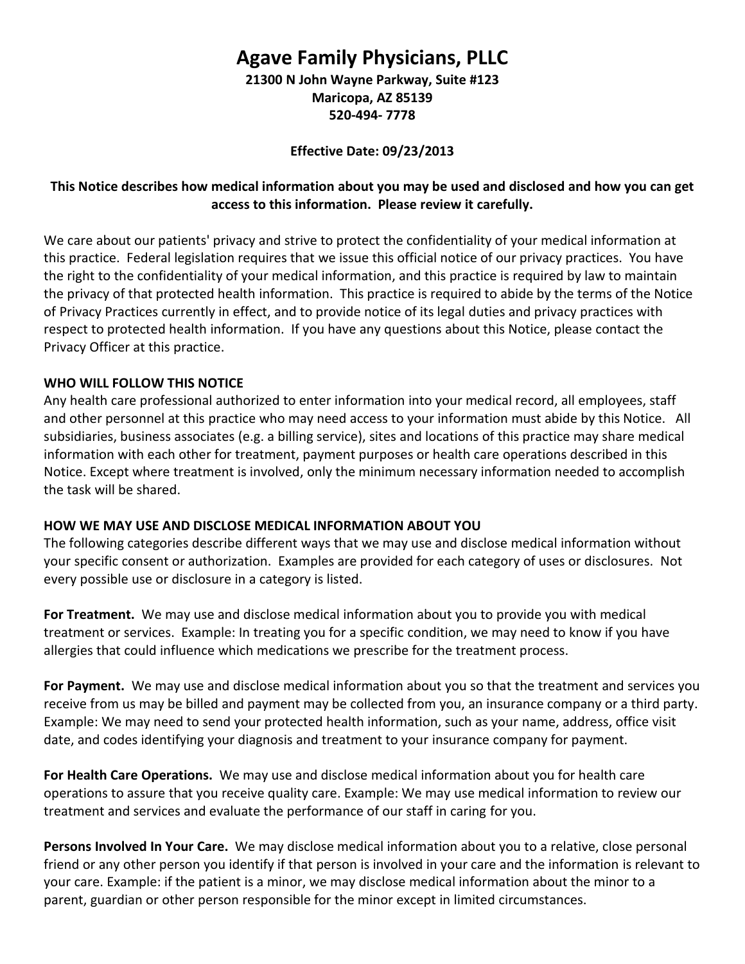# **Agave Family Physicians, PLLC 21300 N John Wayne Parkway, Suite #123**

**Maricopa, AZ 85139 520-494- 7778**

**Effective Date: 09/23/2013**

### **This Notice describes how medical information about you may be used and disclosed and how you can get access to this information. Please review it carefully.**

We care about our patients' privacy and strive to protect the confidentiality of your medical information at this practice. Federal legislation requires that we issue this official notice of our privacy practices. You have the right to the confidentiality of your medical information, and this practice is required by law to maintain the privacy of that protected health information. This practice is required to abide by the terms of the Notice of Privacy Practices currently in effect, and to provide notice of its legal duties and privacy practices with respect to protected health information. If you have any questions about this Notice, please contact the Privacy Officer at this practice.

### **WHO WILL FOLLOW THIS NOTICE**

Any health care professional authorized to enter information into your medical record, all employees, staff and other personnel at this practice who may need access to your information must abide by this Notice. All subsidiaries, business associates (e.g. a billing service), sites and locations of this practice may share medical information with each other for treatment, payment purposes or health care operations described in this Notice. Except where treatment is involved, only the minimum necessary information needed to accomplish the task will be shared.

### **HOW WE MAY USE AND DISCLOSE MEDICAL INFORMATION ABOUT YOU**

The following categories describe different ways that we may use and disclose medical information without your specific consent or authorization. Examples are provided for each category of uses or disclosures. Not every possible use or disclosure in a category is listed.

**For Treatment.** We may use and disclose medical information about you to provide you with medical treatment or services. Example: In treating you for a specific condition, we may need to know if you have allergies that could influence which medications we prescribe for the treatment process.

**For Payment.** We may use and disclose medical information about you so that the treatment and services you receive from us may be billed and payment may be collected from you, an insurance company or a third party. Example: We may need to send your protected health information, such as your name, address, office visit date, and codes identifying your diagnosis and treatment to your insurance company for payment.

**For Health Care Operations.** We may use and disclose medical information about you for health care operations to assure that you receive quality care. Example: We may use medical information to review our treatment and services and evaluate the performance of our staff in caring for you.

**Persons Involved In Your Care.** We may disclose medical information about you to a relative, close personal friend or any other person you identify if that person is involved in your care and the information is relevant to your care. Example: if the patient is a minor, we may disclose medical information about the minor to a parent, guardian or other person responsible for the minor except in limited circumstances.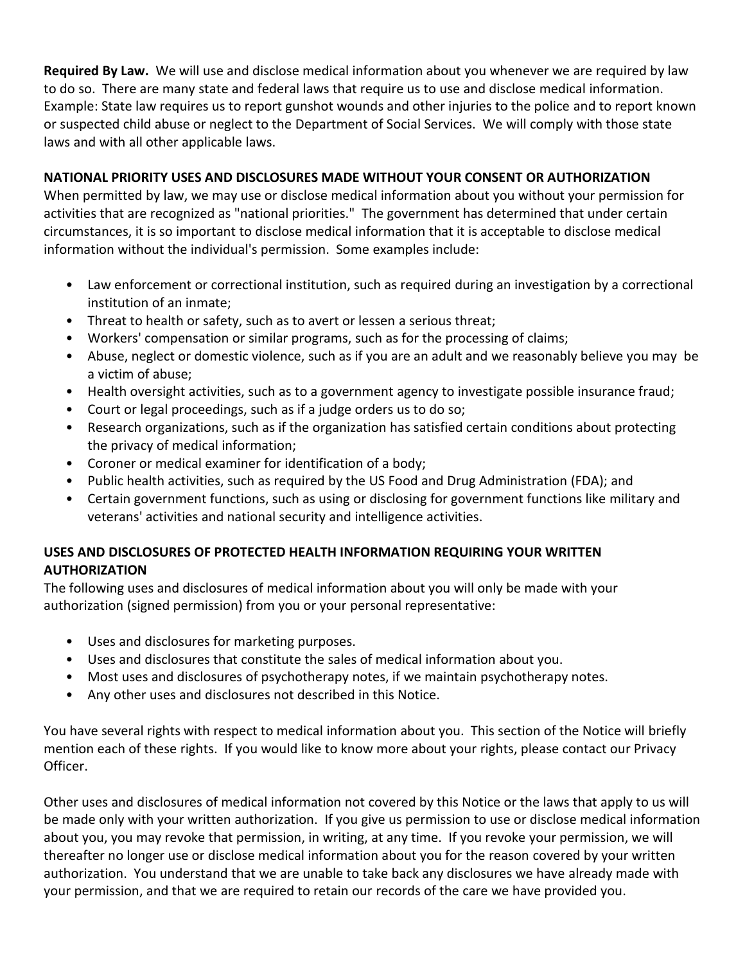**Required By Law.** We will use and disclose medical information about you whenever we are required by law to do so. There are many state and federal laws that require us to use and disclose medical information. Example: State law requires us to report gunshot wounds and other injuries to the police and to report known or suspected child abuse or neglect to the Department of Social Services. We will comply with those state laws and with all other applicable laws.

## **NATIONAL PRIORITY USES AND DISCLOSURES MADE WITHOUT YOUR CONSENT OR AUTHORIZATION**

When permitted by law, we may use or disclose medical information about you without your permission for activities that are recognized as "national priorities." The government has determined that under certain circumstances, it is so important to disclose medical information that it is acceptable to disclose medical information without the individual's permission. Some examples include:

- Law enforcement or correctional institution, such as required during an investigation by a correctional institution of an inmate;
- Threat to health or safety, such as to avert or lessen a serious threat;
- Workers' compensation or similar programs, such as for the processing of claims;
- Abuse, neglect or domestic violence, such as if you are an adult and we reasonably believe you may be a victim of abuse;
- Health oversight activities, such as to a government agency to investigate possible insurance fraud;
- Court or legal proceedings, such as if a judge orders us to do so;
- Research organizations, such as if the organization has satisfied certain conditions about protecting the privacy of medical information;
- Coroner or medical examiner for identification of a body;
- Public health activities, such as required by the US Food and Drug Administration (FDA); and
- Certain government functions, such as using or disclosing for government functions like military and veterans' activities and national security and intelligence activities.

## **USES AND DISCLOSURES OF PROTECTED HEALTH INFORMATION REQUIRING YOUR WRITTEN AUTHORIZATION**

The following uses and disclosures of medical information about you will only be made with your authorization (signed permission) from you or your personal representative:

- Uses and disclosures for marketing purposes.
- Uses and disclosures that constitute the sales of medical information about you.
- Most uses and disclosures of psychotherapy notes, if we maintain psychotherapy notes.
- Any other uses and disclosures not described in this Notice.

You have several rights with respect to medical information about you. This section of the Notice will briefly mention each of these rights. If you would like to know more about your rights, please contact our Privacy Officer.

Other uses and disclosures of medical information not covered by this Notice or the laws that apply to us will be made only with your written authorization. If you give us permission to use or disclose medical information about you, you may revoke that permission, in writing, at any time. If you revoke your permission, we will thereafter no longer use or disclose medical information about you for the reason covered by your written authorization. You understand that we are unable to take back any disclosures we have already made with your permission, and that we are required to retain our records of the care we have provided you.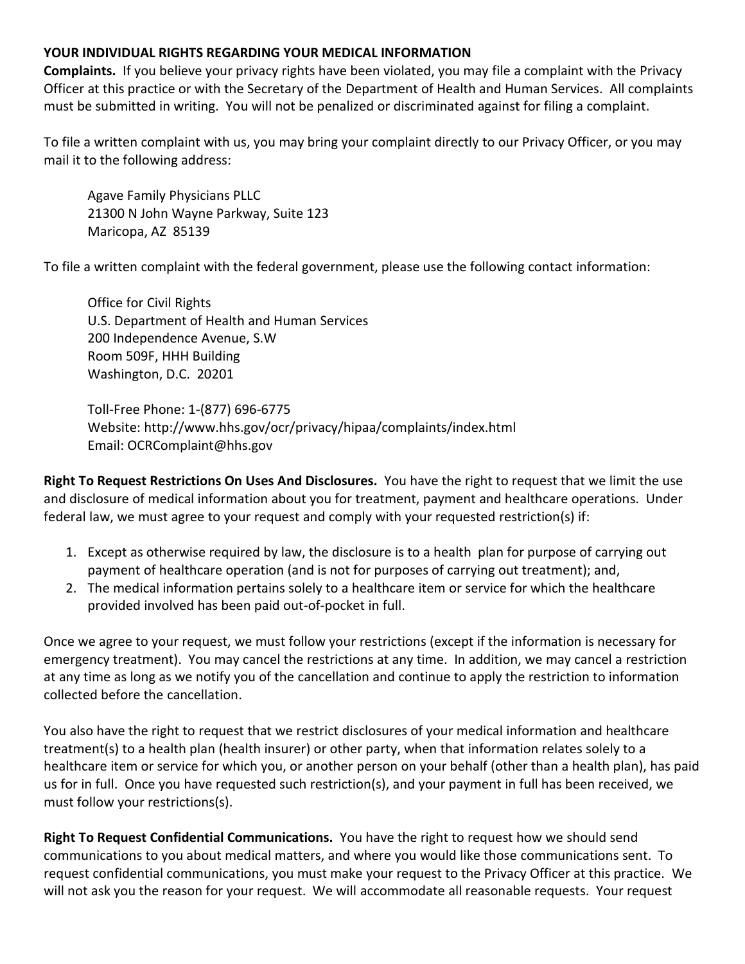#### **YOUR INDIVIDUAL RIGHTS REGARDING YOUR MEDICAL INFORMATION**

**Complaints.** If you believe your privacy rights have been violated, you may file a complaint with the Privacy Officer at this practice or with the Secretary of the Department of Health and Human Services. All complaints must be submitted in writing. You will not be penalized or discriminated against for filing a complaint.

To file a written complaint with us, you may bring your complaint directly to our Privacy Officer, or you may mail it to the following address:

Agave Family Physicians PLLC 21300 N John Wayne Parkway, Suite 123 Maricopa, AZ 85139

To file a written complaint with the federal government, please use the following contact information:

Office for Civil Rights U.S. Department of Health and Human Services 200 Independence Avenue, S.W Room 509F, HHH Building Washington, D.C. 20201

Toll-Free Phone: 1-(877) 696-6775 Website: http://www.hhs.gov/ocr/privacy/hipaa/complaints/index.html Email: OCRComplaint@hhs.gov

**Right To Request Restrictions On Uses And Disclosures.** You have the right to request that we limit the use and disclosure of medical information about you for treatment, payment and healthcare operations. Under federal law, we must agree to your request and comply with your requested restriction(s) if:

- 1. Except as otherwise required by law, the disclosure is to a health plan for purpose of carrying out payment of healthcare operation (and is not for purposes of carrying out treatment); and,
- 2. The medical information pertains solely to a healthcare item or service for which the healthcare provided involved has been paid out-of-pocket in full.

Once we agree to your request, we must follow your restrictions (except if the information is necessary for emergency treatment). You may cancel the restrictions at any time. In addition, we may cancel a restriction at any time as long as we notify you of the cancellation and continue to apply the restriction to information collected before the cancellation.

You also have the right to request that we restrict disclosures of your medical information and healthcare treatment(s) to a health plan (health insurer) or other party, when that information relates solely to a healthcare item or service for which you, or another person on your behalf (other than a health plan), has paid us for in full. Once you have requested such restriction(s), and your payment in full has been received, we must follow your restrictions(s).

**Right To Request Confidential Communications.** You have the right to request how we should send communications to you about medical matters, and where you would like those communications sent. To request confidential communications, you must make your request to the Privacy Officer at this practice. We will not ask you the reason for your request. We will accommodate all reasonable requests. Your request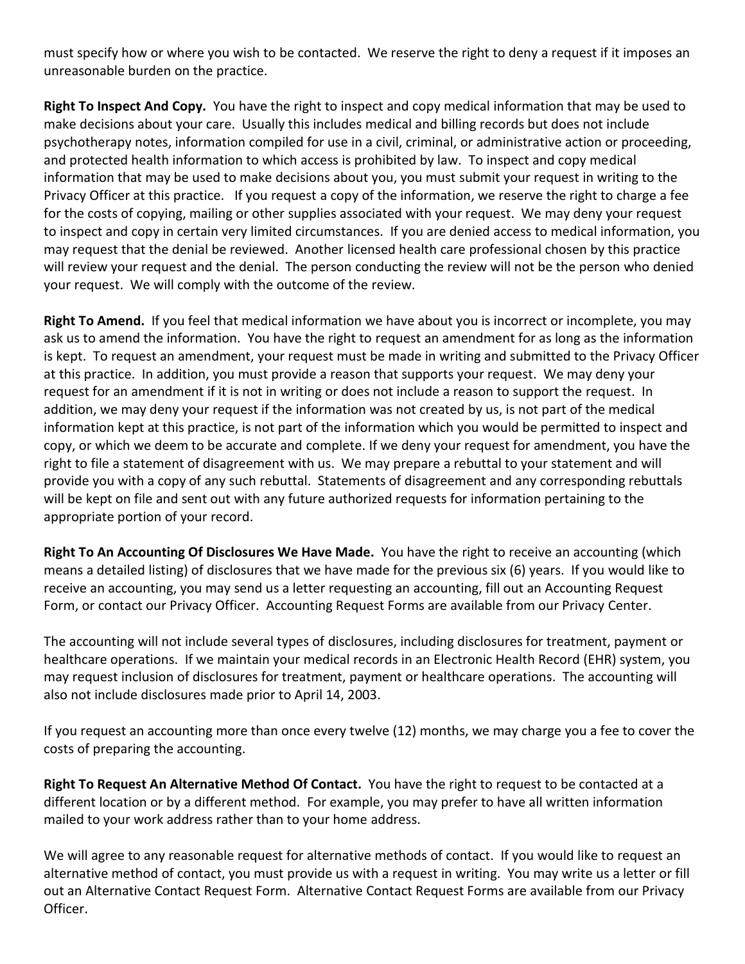must specify how or where you wish to be contacted. We reserve the right to deny a request if it imposes an unreasonable burden on the practice.

**Right To Inspect And Copy.** You have the right to inspect and copy medical information that may be used to make decisions about your care. Usually this includes medical and billing records but does not include psychotherapy notes, information compiled for use in a civil, criminal, or administrative action or proceeding, and protected health information to which access is prohibited by law. To inspect and copy medical information that may be used to make decisions about you, you must submit your request in writing to the Privacy Officer at this practice. If you request a copy of the information, we reserve the right to charge a fee for the costs of copying, mailing or other supplies associated with your request. We may deny your request to inspect and copy in certain very limited circumstances. If you are denied access to medical information, you may request that the denial be reviewed. Another licensed health care professional chosen by this practice will review your request and the denial. The person conducting the review will not be the person who denied your request. We will comply with the outcome of the review.

**Right To Amend.** If you feel that medical information we have about you is incorrect or incomplete, you may ask us to amend the information. You have the right to request an amendment for as long as the information is kept. To request an amendment, your request must be made in writing and submitted to the Privacy Officer at this practice. In addition, you must provide a reason that supports your request. We may deny your request for an amendment if it is not in writing or does not include a reason to support the request. In addition, we may deny your request if the information was not created by us, is not part of the medical information kept at this practice, is not part of the information which you would be permitted to inspect and copy, or which we deem to be accurate and complete. If we deny your request for amendment, you have the right to file a statement of disagreement with us. We may prepare a rebuttal to your statement and will provide you with a copy of any such rebuttal. Statements of disagreement and any corresponding rebuttals will be kept on file and sent out with any future authorized requests for information pertaining to the appropriate portion of your record.

**Right To An Accounting Of Disclosures We Have Made.** You have the right to receive an accounting (which means a detailed listing) of disclosures that we have made for the previous six (6) years. If you would like to receive an accounting, you may send us a letter requesting an accounting, fill out an Accounting Request Form, or contact our Privacy Officer. Accounting Request Forms are available from our Privacy Center.

The accounting will not include several types of disclosures, including disclosures for treatment, payment or healthcare operations. If we maintain your medical records in an Electronic Health Record (EHR) system, you may request inclusion of disclosures for treatment, payment or healthcare operations. The accounting will also not include disclosures made prior to April 14, 2003.

If you request an accounting more than once every twelve (12) months, we may charge you a fee to cover the costs of preparing the accounting.

**Right To Request An Alternative Method Of Contact.** You have the right to request to be contacted at a different location or by a different method. For example, you may prefer to have all written information mailed to your work address rather than to your home address.

We will agree to any reasonable request for alternative methods of contact. If you would like to request an alternative method of contact, you must provide us with a request in writing. You may write us a letter or fill out an Alternative Contact Request Form. Alternative Contact Request Forms are available from our Privacy Officer.